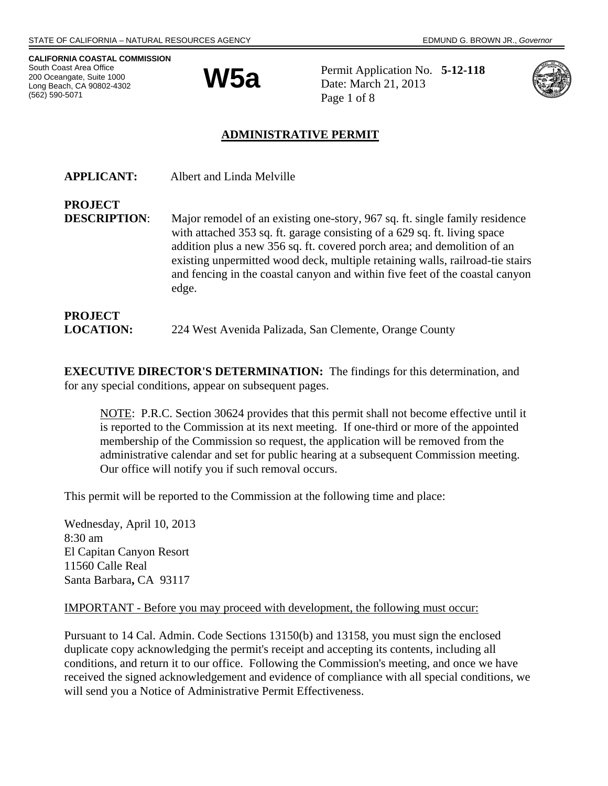**CALIFORNIA COASTAL COMMISSION**  South Coast Area Office 200 Oceangate, Suite 1000 Long Beach, CA 90802-4302 (562) 590-5071



 $W5a$  Permit Application No.  $5-12-118$ <br>Date: March 21, 2013 Date: March 21, 2013 Page 1 of 8



## **ADMINISTRATIVE PERMIT**

| <b>APPLICANT:</b>   | Albert and Linda Melville                                                                                                                                                                                                                                                                                                                                                                                      |
|---------------------|----------------------------------------------------------------------------------------------------------------------------------------------------------------------------------------------------------------------------------------------------------------------------------------------------------------------------------------------------------------------------------------------------------------|
| <b>PROJECT</b>      |                                                                                                                                                                                                                                                                                                                                                                                                                |
| <b>DESCRIPTION:</b> | Major remodel of an existing one-story, 967 sq. ft. single family residence<br>with attached 353 sq. ft. garage consisting of a 629 sq. ft. living space<br>addition plus a new 356 sq. ft. covered porch area; and demolition of an<br>existing unpermitted wood deck, multiple retaining walls, railroad-tie stairs<br>and fencing in the coastal canyon and within five feet of the coastal canyon<br>edge. |
| <b>PROJECT</b>      |                                                                                                                                                                                                                                                                                                                                                                                                                |
| <b>LOCATION:</b>    | 224 West Avenida Palizada, San Clemente, Orange County                                                                                                                                                                                                                                                                                                                                                         |

**EXECUTIVE DIRECTOR'S DETERMINATION:** The findings for this determination, and for any special conditions, appear on subsequent pages.

NOTE: P.R.C. Section 30624 provides that this permit shall not become effective until it is reported to the Commission at its next meeting. If one-third or more of the appointed membership of the Commission so request, the application will be removed from the administrative calendar and set for public hearing at a subsequent Commission meeting. Our office will notify you if such removal occurs.

This permit will be reported to the Commission at the following time and place:

Wednesday, April 10, 2013 8:30 am El Capitan Canyon Resort 11560 Calle Real Santa Barbara**,** CA 93117

#### IMPORTANT - Before you may proceed with development, the following must occur:

Pursuant to 14 Cal. Admin. Code Sections 13150(b) and 13158, you must sign the enclosed duplicate copy acknowledging the permit's receipt and accepting its contents, including all conditions, and return it to our office. Following the Commission's meeting, and once we have received the signed acknowledgement and evidence of compliance with all special conditions, we will send you a Notice of Administrative Permit Effectiveness.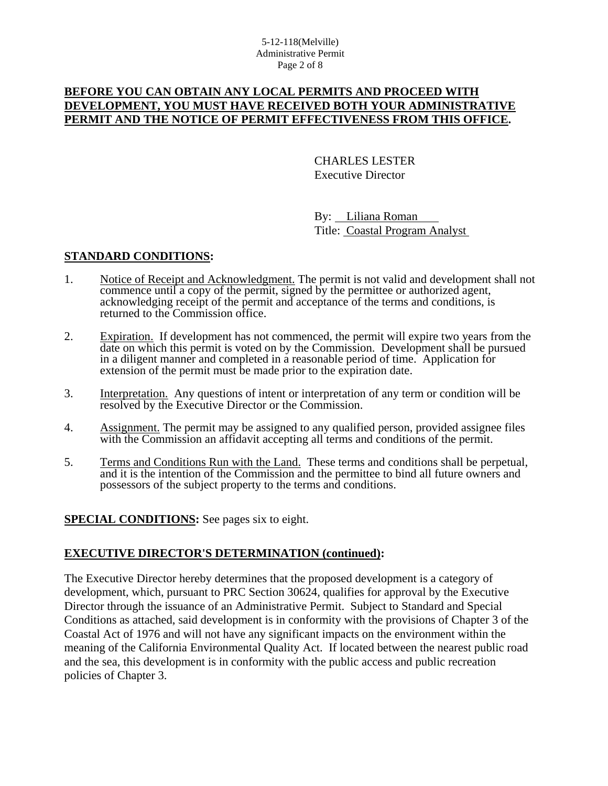## **BEFORE YOU CAN OBTAIN ANY LOCAL PERMITS AND PROCEED WITH DEVELOPMENT, YOU MUST HAVE RECEIVED BOTH YOUR ADMINISTRATIVE PERMIT AND THE NOTICE OF PERMIT EFFECTIVENESS FROM THIS OFFICE.**

 CHARLES LESTER Executive Director

 By: Liliana Roman Title: Coastal Program Analyst

#### **STANDARD CONDITIONS:**

- 1. Notice of Receipt and Acknowledgment. The permit is not valid and development shall not commence until a copy of the permit, signed by the permittee or authorized agent, acknowledging receipt of the permit and acceptance of the terms and conditions, is returned to the Commission office.
- 2. Expiration. If development has not commenced, the permit will expire two years from the date on which this permit is voted on by the Commission. Development shall be pursued in a diligent manner and completed in a reasonable period of time. Application for extension of the permit must be made prior to the expiration date.
- 3. Interpretation. Any questions of intent or interpretation of any term or condition will be resolved by the Executive Director or the Commission.
- 4. Assignment. The permit may be assigned to any qualified person, provided assignee files with the Commission an affidavit accepting all terms and conditions of the permit.
- 5. Terms and Conditions Run with the Land. These terms and conditions shall be perpetual, and it is the intention of the Commission and the permittee to bind all future owners and possessors of the subject property to the terms and conditions.

**SPECIAL CONDITIONS:** See pages six to eight.

#### **EXECUTIVE DIRECTOR'S DETERMINATION (continued):**

The Executive Director hereby determines that the proposed development is a category of development, which, pursuant to PRC Section 30624, qualifies for approval by the Executive Director through the issuance of an Administrative Permit. Subject to Standard and Special Conditions as attached, said development is in conformity with the provisions of Chapter 3 of the Coastal Act of 1976 and will not have any significant impacts on the environment within the meaning of the California Environmental Quality Act. If located between the nearest public road and the sea, this development is in conformity with the public access and public recreation policies of Chapter 3.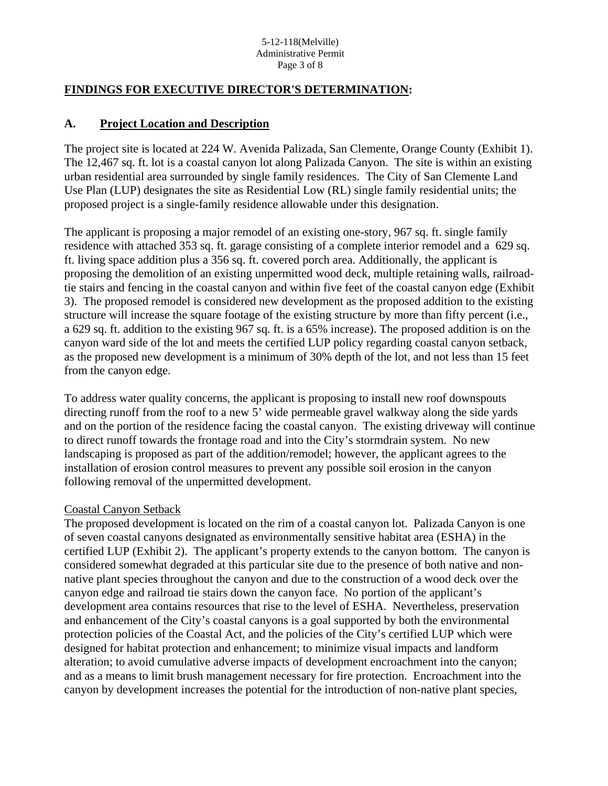#### 5-12-118(Melville) Administrative Permit Page 3 of 8

## **FINDINGS FOR EXECUTIVE DIRECTOR'S DETERMINATION:**

#### **A. Project Location and Description**

The project site is located at 224 W. Avenida Palizada, San Clemente, Orange County (Exhibit 1). The 12,467 sq. ft. lot is a coastal canyon lot along Palizada Canyon. The site is within an existing urban residential area surrounded by single family residences. The City of San Clemente Land Use Plan (LUP) designates the site as Residential Low (RL) single family residential units; the proposed project is a single-family residence allowable under this designation.

The applicant is proposing a major remodel of an existing one-story, 967 sq. ft. single family residence with attached 353 sq. ft. garage consisting of a complete interior remodel and a 629 sq. ft. living space addition plus a 356 sq. ft. covered porch area. Additionally, the applicant is proposing the demolition of an existing unpermitted wood deck, multiple retaining walls, railroadtie stairs and fencing in the coastal canyon and within five feet of the coastal canyon edge (Exhibit 3). The proposed remodel is considered new development as the proposed addition to the existing structure will increase the square footage of the existing structure by more than fifty percent (i.e., a 629 sq. ft. addition to the existing 967 sq. ft. is a 65% increase). The proposed addition is on the canyon ward side of the lot and meets the certified LUP policy regarding coastal canyon setback, as the proposed new development is a minimum of 30% depth of the lot, and not less than 15 feet from the canyon edge.

To address water quality concerns, the applicant is proposing to install new roof downspouts directing runoff from the roof to a new 5' wide permeable gravel walkway along the side yards and on the portion of the residence facing the coastal canyon. The existing driveway will continue to direct runoff towards the frontage road and into the City's stormdrain system. No new landscaping is proposed as part of the addition/remodel; however, the applicant agrees to the installation of erosion control measures to prevent any possible soil erosion in the canyon following removal of the unpermitted development.

#### Coastal Canyon Setback

The proposed development is located on the rim of a coastal canyon lot. Palizada Canyon is one of seven coastal canyons designated as environmentally sensitive habitat area (ESHA) in the certified LUP (Exhibit 2). The applicant's property extends to the canyon bottom. The canyon is considered somewhat degraded at this particular site due to the presence of both native and nonnative plant species throughout the canyon and due to the construction of a wood deck over the canyon edge and railroad tie stairs down the canyon face. No portion of the applicant's development area contains resources that rise to the level of ESHA. Nevertheless, preservation and enhancement of the City's coastal canyons is a goal supported by both the environmental protection policies of the Coastal Act, and the policies of the City's certified LUP which were designed for habitat protection and enhancement; to minimize visual impacts and landform alteration; to avoid cumulative adverse impacts of development encroachment into the canyon; and as a means to limit brush management necessary for fire protection. Encroachment into the canyon by development increases the potential for the introduction of non-native plant species,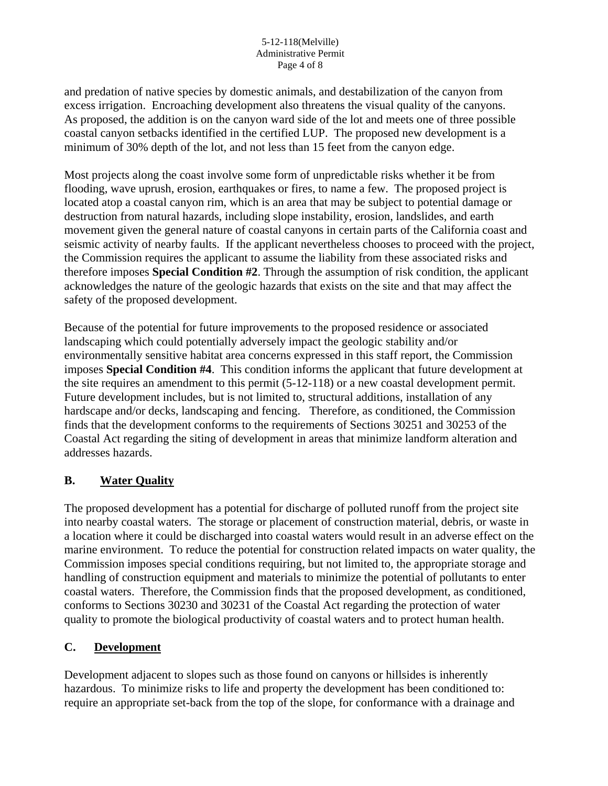and predation of native species by domestic animals, and destabilization of the canyon from excess irrigation. Encroaching development also threatens the visual quality of the canyons. As proposed, the addition is on the canyon ward side of the lot and meets one of three possible coastal canyon setbacks identified in the certified LUP. The proposed new development is a minimum of 30% depth of the lot, and not less than 15 feet from the canyon edge.

Most projects along the coast involve some form of unpredictable risks whether it be from flooding, wave uprush, erosion, earthquakes or fires, to name a few. The proposed project is located atop a coastal canyon rim, which is an area that may be subject to potential damage or destruction from natural hazards, including slope instability, erosion, landslides, and earth movement given the general nature of coastal canyons in certain parts of the California coast and seismic activity of nearby faults. If the applicant nevertheless chooses to proceed with the project, the Commission requires the applicant to assume the liability from these associated risks and therefore imposes **Special Condition #2**. Through the assumption of risk condition, the applicant acknowledges the nature of the geologic hazards that exists on the site and that may affect the safety of the proposed development.

Because of the potential for future improvements to the proposed residence or associated landscaping which could potentially adversely impact the geologic stability and/or environmentally sensitive habitat area concerns expressed in this staff report, the Commission imposes **Special Condition #4**. This condition informs the applicant that future development at the site requires an amendment to this permit (5-12-118) or a new coastal development permit. Future development includes, but is not limited to, structural additions, installation of any hardscape and/or decks, landscaping and fencing. Therefore, as conditioned, the Commission finds that the development conforms to the requirements of Sections 30251 and 30253 of the Coastal Act regarding the siting of development in areas that minimize landform alteration and addresses hazards.

# **B. Water Quality**

The proposed development has a potential for discharge of polluted runoff from the project site into nearby coastal waters. The storage or placement of construction material, debris, or waste in a location where it could be discharged into coastal waters would result in an adverse effect on the marine environment. To reduce the potential for construction related impacts on water quality, the Commission imposes special conditions requiring, but not limited to, the appropriate storage and handling of construction equipment and materials to minimize the potential of pollutants to enter coastal waters. Therefore, the Commission finds that the proposed development, as conditioned, conforms to Sections 30230 and 30231 of the Coastal Act regarding the protection of water quality to promote the biological productivity of coastal waters and to protect human health.

## **C. Development**

Development adjacent to slopes such as those found on canyons or hillsides is inherently hazardous. To minimize risks to life and property the development has been conditioned to: require an appropriate set-back from the top of the slope, for conformance with a drainage and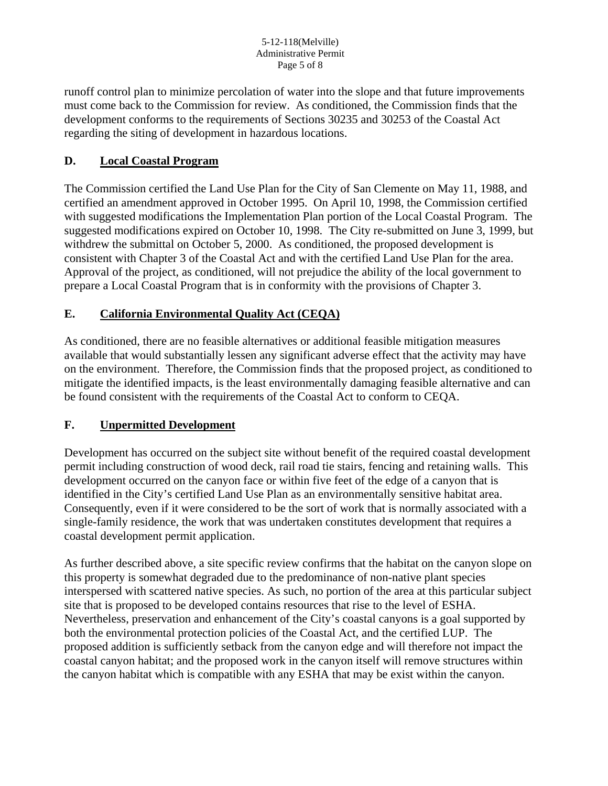runoff control plan to minimize percolation of water into the slope and that future improvements must come back to the Commission for review. As conditioned, the Commission finds that the development conforms to the requirements of Sections 30235 and 30253 of the Coastal Act regarding the siting of development in hazardous locations.

# **D. Local Coastal Program**

The Commission certified the Land Use Plan for the City of San Clemente on May 11, 1988, and certified an amendment approved in October 1995. On April 10, 1998, the Commission certified with suggested modifications the Implementation Plan portion of the Local Coastal Program. The suggested modifications expired on October 10, 1998. The City re-submitted on June 3, 1999, but withdrew the submittal on October 5, 2000. As conditioned, the proposed development is consistent with Chapter 3 of the Coastal Act and with the certified Land Use Plan for the area. Approval of the project, as conditioned, will not prejudice the ability of the local government to prepare a Local Coastal Program that is in conformity with the provisions of Chapter 3.

## **E. California Environmental Quality Act (CEQA)**

As conditioned, there are no feasible alternatives or additional feasible mitigation measures available that would substantially lessen any significant adverse effect that the activity may have on the environment. Therefore, the Commission finds that the proposed project, as conditioned to mitigate the identified impacts, is the least environmentally damaging feasible alternative and can be found consistent with the requirements of the Coastal Act to conform to CEQA.

## **F. Unpermitted Development**

Development has occurred on the subject site without benefit of the required coastal development permit including construction of wood deck, rail road tie stairs, fencing and retaining walls. This development occurred on the canyon face or within five feet of the edge of a canyon that is identified in the City's certified Land Use Plan as an environmentally sensitive habitat area. Consequently, even if it were considered to be the sort of work that is normally associated with a single-family residence, the work that was undertaken constitutes development that requires a coastal development permit application.

As further described above, a site specific review confirms that the habitat on the canyon slope on this property is somewhat degraded due to the predominance of non-native plant species interspersed with scattered native species. As such, no portion of the area at this particular subject site that is proposed to be developed contains resources that rise to the level of ESHA. Nevertheless, preservation and enhancement of the City's coastal canyons is a goal supported by both the environmental protection policies of the Coastal Act, and the certified LUP. The proposed addition is sufficiently setback from the canyon edge and will therefore not impact the coastal canyon habitat; and the proposed work in the canyon itself will remove structures within the canyon habitat which is compatible with any ESHA that may be exist within the canyon.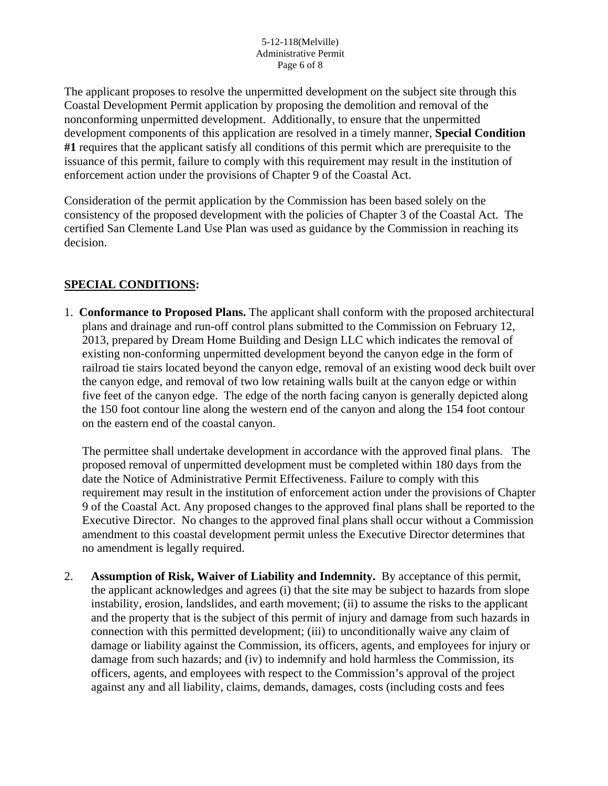The applicant proposes to resolve the unpermitted development on the subject site through this Coastal Development Permit application by proposing the demolition and removal of the nonconforming unpermitted development. Additionally, to ensure that the unpermitted development components of this application are resolved in a timely manner, **Special Condition #1** requires that the applicant satisfy all conditions of this permit which are prerequisite to the issuance of this permit, failure to comply with this requirement may result in the institution of enforcement action under the provisions of Chapter 9 of the Coastal Act.

Consideration of the permit application by the Commission has been based solely on the consistency of the proposed development with the policies of Chapter 3 of the Coastal Act. The certified San Clemente Land Use Plan was used as guidance by the Commission in reaching its decision.

# **SPECIAL CONDITIONS:**

1. **Conformance to Proposed Plans.** The applicant shall conform with the proposed architectural plans and drainage and run-off control plans submitted to the Commission on February 12, 2013, prepared by Dream Home Building and Design LLC which indicates the removal of existing non-conforming unpermitted development beyond the canyon edge in the form of railroad tie stairs located beyond the canyon edge, removal of an existing wood deck built over the canyon edge, and removal of two low retaining walls built at the canyon edge or within five feet of the canyon edge. The edge of the north facing canyon is generally depicted along the 150 foot contour line along the western end of the canyon and along the 154 foot contour on the eastern end of the coastal canyon.

The permittee shall undertake development in accordance with the approved final plans. The proposed removal of unpermitted development must be completed within 180 days from the date the Notice of Administrative Permit Effectiveness. Failure to comply with this requirement may result in the institution of enforcement action under the provisions of Chapter 9 of the Coastal Act. Any proposed changes to the approved final plans shall be reported to the Executive Director. No changes to the approved final plans shall occur without a Commission amendment to this coastal development permit unless the Executive Director determines that no amendment is legally required.

2. **Assumption of Risk, Waiver of Liability and Indemnity.** By acceptance of this permit, the applicant acknowledges and agrees (i) that the site may be subject to hazards from slope instability, erosion, landslides, and earth movement; (ii) to assume the risks to the applicant and the property that is the subject of this permit of injury and damage from such hazards in connection with this permitted development; (iii) to unconditionally waive any claim of damage or liability against the Commission, its officers, agents, and employees for injury or damage from such hazards; and (iv) to indemnify and hold harmless the Commission, its officers, agents, and employees with respect to the Commission's approval of the project against any and all liability, claims, demands, damages, costs (including costs and fees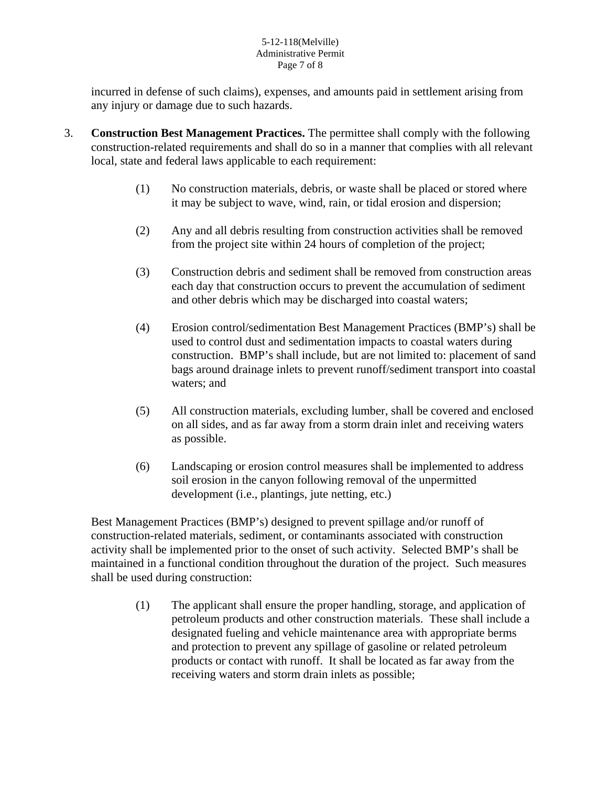#### 5-12-118(Melville) Administrative Permit Page 7 of 8

incurred in defense of such claims), expenses, and amounts paid in settlement arising from any injury or damage due to such hazards.

- 3. **Construction Best Management Practices.** The permittee shall comply with the following construction-related requirements and shall do so in a manner that complies with all relevant local, state and federal laws applicable to each requirement:
	- (1) No construction materials, debris, or waste shall be placed or stored where it may be subject to wave, wind, rain, or tidal erosion and dispersion;
	- (2) Any and all debris resulting from construction activities shall be removed from the project site within 24 hours of completion of the project;
	- (3) Construction debris and sediment shall be removed from construction areas each day that construction occurs to prevent the accumulation of sediment and other debris which may be discharged into coastal waters;
	- (4) Erosion control/sedimentation Best Management Practices (BMP's) shall be used to control dust and sedimentation impacts to coastal waters during construction. BMP's shall include, but are not limited to: placement of sand bags around drainage inlets to prevent runoff/sediment transport into coastal waters; and
	- (5) All construction materials, excluding lumber, shall be covered and enclosed on all sides, and as far away from a storm drain inlet and receiving waters as possible.
	- (6) Landscaping or erosion control measures shall be implemented to address soil erosion in the canyon following removal of the unpermitted development (i.e., plantings, jute netting, etc.)

Best Management Practices (BMP's) designed to prevent spillage and/or runoff of construction-related materials, sediment, or contaminants associated with construction activity shall be implemented prior to the onset of such activity. Selected BMP's shall be maintained in a functional condition throughout the duration of the project. Such measures shall be used during construction:

> (1) The applicant shall ensure the proper handling, storage, and application of petroleum products and other construction materials. These shall include a designated fueling and vehicle maintenance area with appropriate berms and protection to prevent any spillage of gasoline or related petroleum products or contact with runoff. It shall be located as far away from the receiving waters and storm drain inlets as possible;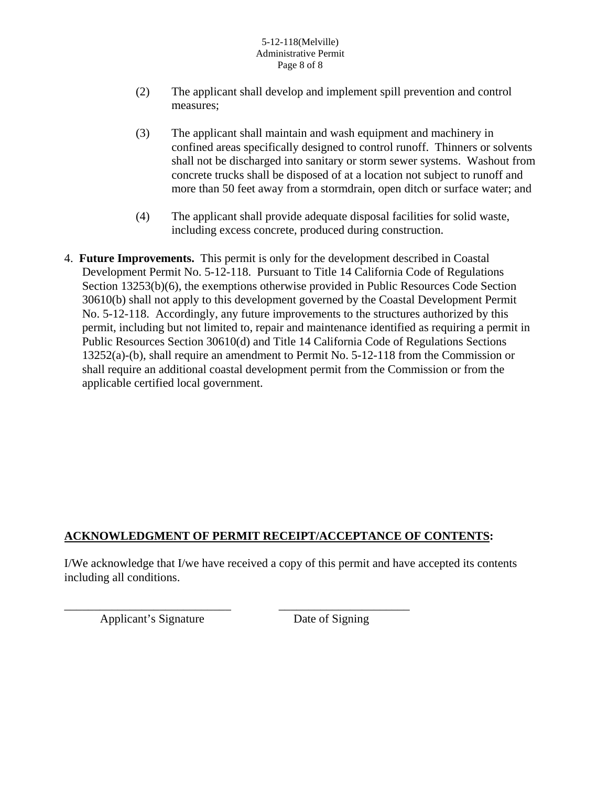#### 5-12-118(Melville) Administrative Permit Page 8 of 8

- (2) The applicant shall develop and implement spill prevention and control measures;
- (3) The applicant shall maintain and wash equipment and machinery in confined areas specifically designed to control runoff. Thinners or solvents shall not be discharged into sanitary or storm sewer systems. Washout from concrete trucks shall be disposed of at a location not subject to runoff and more than 50 feet away from a stormdrain, open ditch or surface water; and
- (4) The applicant shall provide adequate disposal facilities for solid waste, including excess concrete, produced during construction.
- 4. **Future Improvements.** This permit is only for the development described in Coastal Development Permit No. 5-12-118. Pursuant to Title 14 California Code of Regulations Section 13253(b)(6), the exemptions otherwise provided in Public Resources Code Section 30610(b) shall not apply to this development governed by the Coastal Development Permit No. 5-12-118. Accordingly, any future improvements to the structures authorized by this permit, including but not limited to, repair and maintenance identified as requiring a permit in Public Resources Section 30610(d) and Title 14 California Code of Regulations Sections 13252(a)-(b), shall require an amendment to Permit No. 5-12-118 from the Commission or shall require an additional coastal development permit from the Commission or from the applicable certified local government.

# **ACKNOWLEDGMENT OF PERMIT RECEIPT/ACCEPTANCE OF CONTENTS:**

\_\_\_\_\_\_\_\_\_\_\_\_\_\_\_\_\_\_\_\_\_\_\_\_\_\_\_\_ \_\_\_\_\_\_\_\_\_\_\_\_\_\_\_\_\_\_\_\_\_\_

I/We acknowledge that I/we have received a copy of this permit and have accepted its contents including all conditions.

Applicant's Signature Date of Signing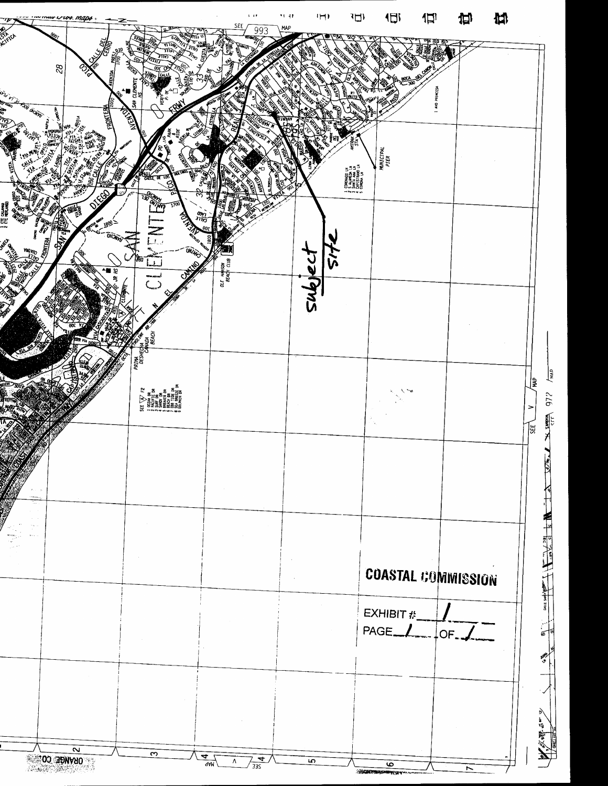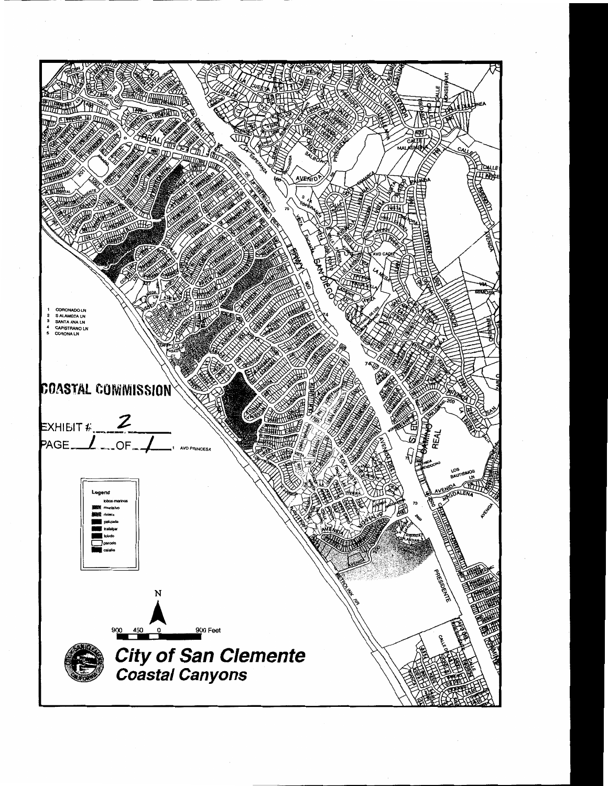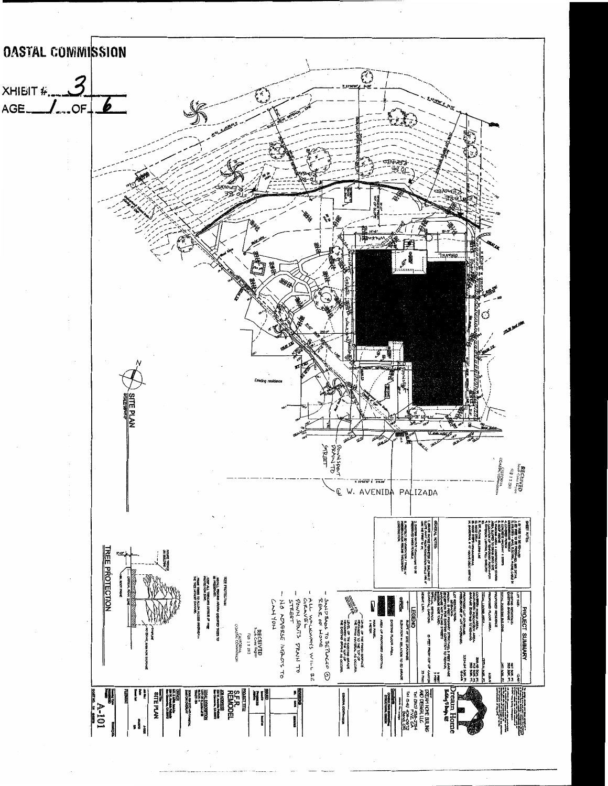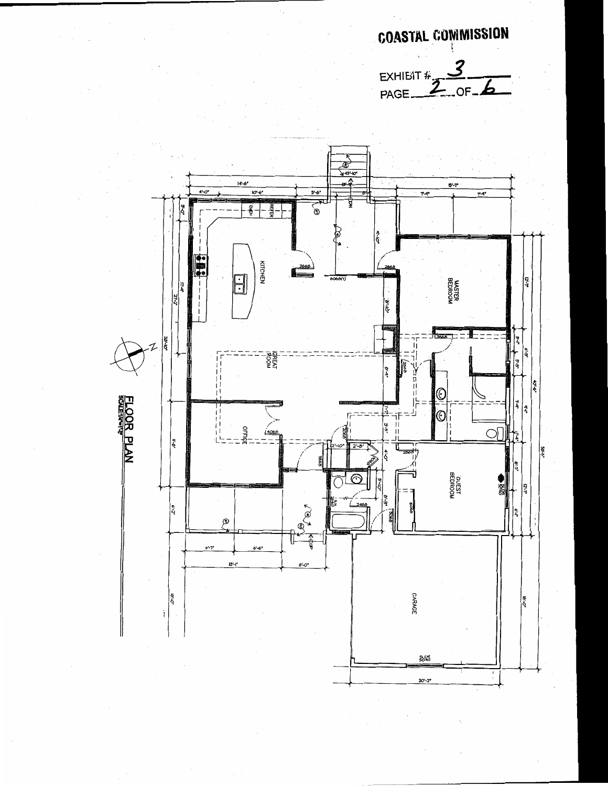**COASTAL COMMISSION** 

EXHIBIT  $\frac{3}{PAGE - B}$ 

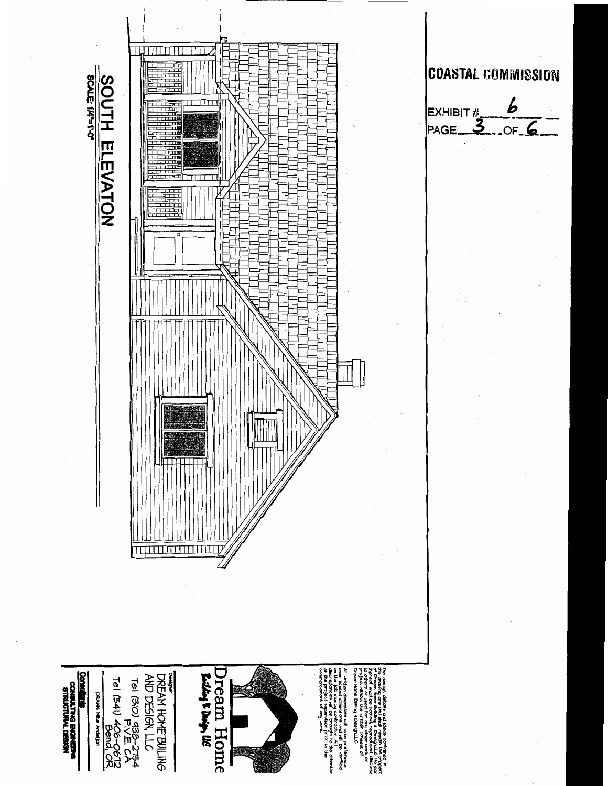

# **COASTAL COMMISSION**

 $\overline{b}$  $OF. 6$ **PAGE**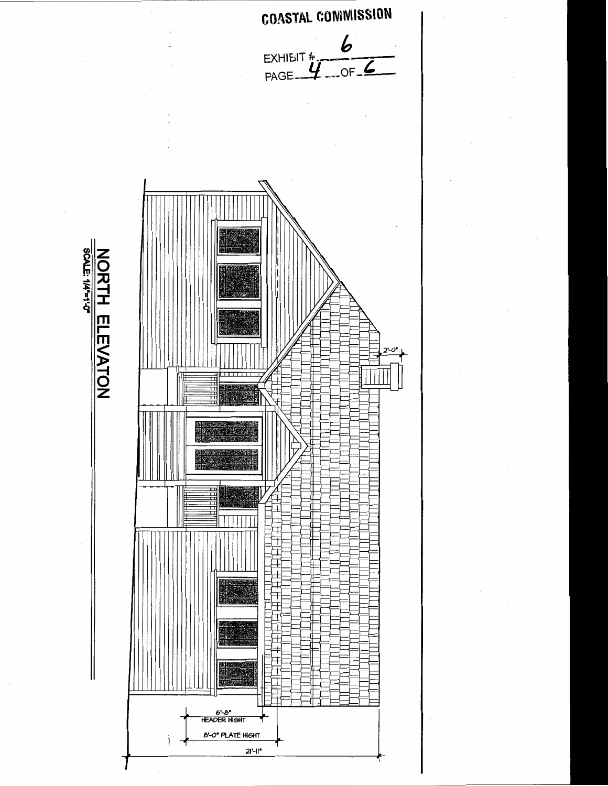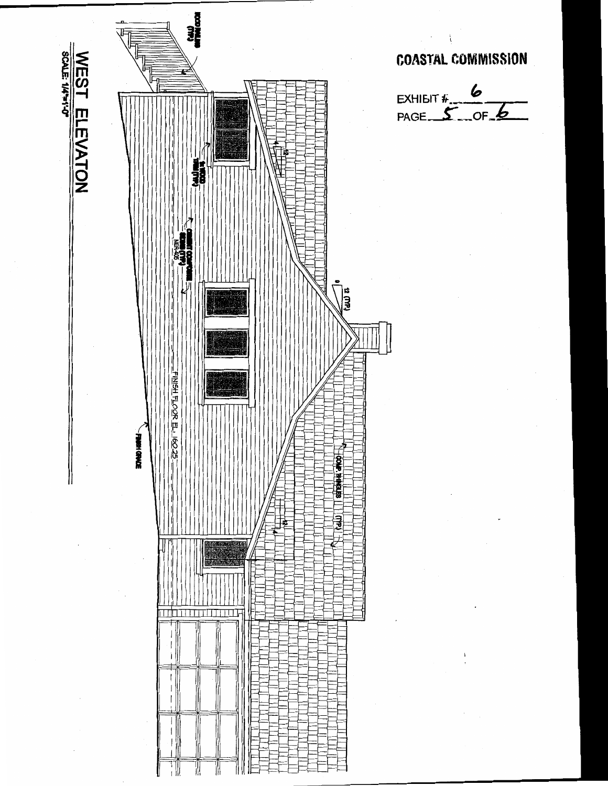

**COASTAL COMMISSION**